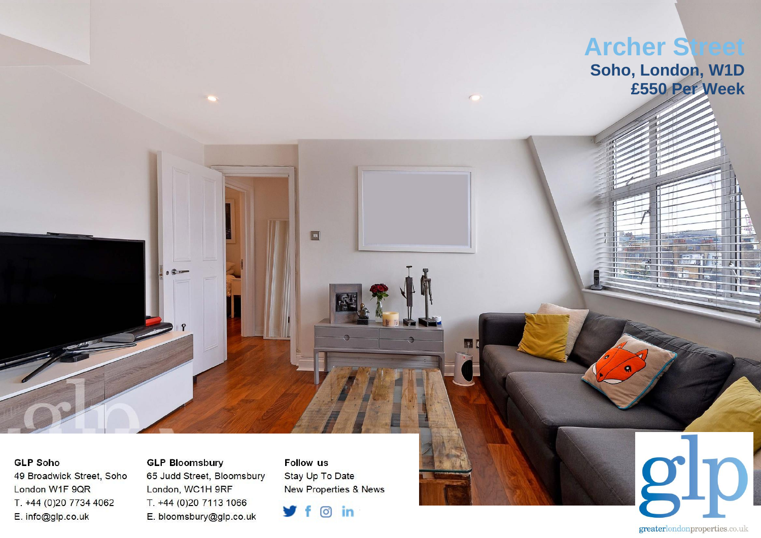

**GLP Soho** 49 Broadwick Street, Soho London W1F 9QR T. +44 (0)20 7734 4062 E. info@glp.co.uk

**GLP Bloomsbury** 65 Judd Street, Bloomsbury London, WC1H 9RF T. +44 (0)20 7113 1066 E. bloomsbury@glp.co.uk

**Follow us** Stay Up To Date New Properties & News

 $\circ$  in ÷

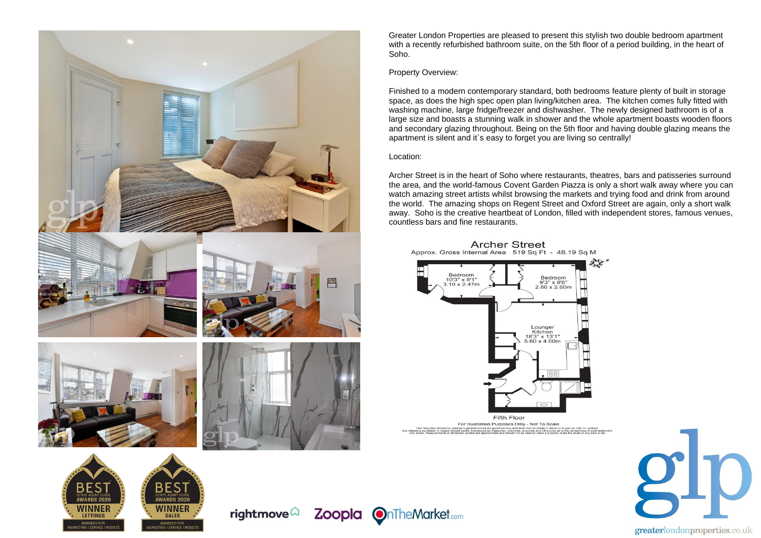

**WINNER** 

SALES

rightmove $\widehat{\omega}$ 

**AWARDS 2021** 

**WINNER** 

**LETTINGS** 

Greater London Properties are pleased to present this stylish two double bedroom apartment with a recently refurbished bathroom suite, on the 5th floor of a period building, in the heart of Soho.

## Property Overview:

Finished to a modern contemporary standard, both bedrooms feature plenty of built in storage space, as does the high spec open plan living/kitchen area. The kitchen comes fully fitted with washing machine, large fridge/freezer and dishwasher. The newly designed bathroom is of a large size and boasts a stunning walk in shower and the whole apartment boasts wooden floors and secondary glazing throughout. Being on the 5th floor and having double glazing means the apartment is silent and it`s easy to forget you are living so centrally!

## Location:

Zoopla OnTheMarket.com

Archer Street is in the heart of Soho where restaurants, theatres, bars and patisseries surround the area, and the world-famous Covent Garden Piazza is only a short walk away where you can watch amazing street artists whilst browsing the markets and trying food and drink from around the world. The amazing shops on Regent Street and Oxford Street are again, only a short walk away. Soho is the creative heartbeat of London, filled with independent stores, famous venues, countless bars and fine restaurants.



**Archer Street** 

For Illustration Purposes Only - Not To Scale